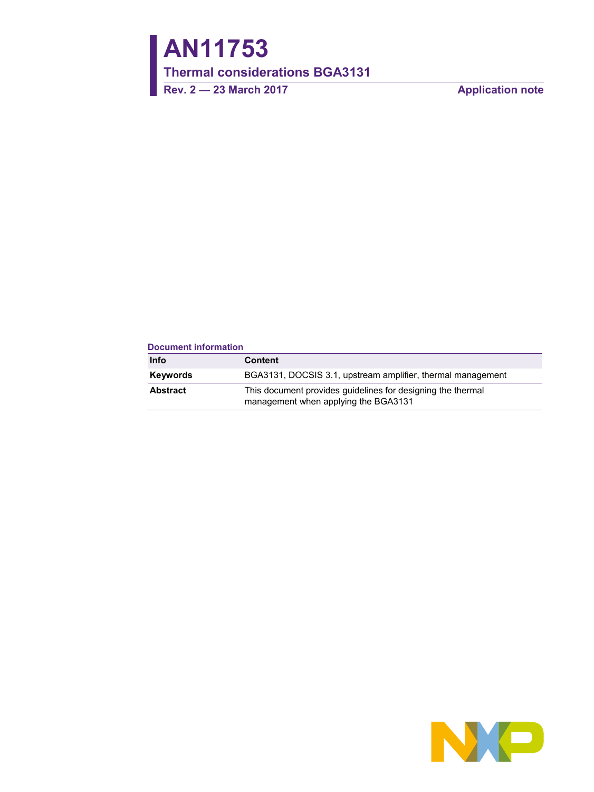# **AN11753**

**Thermal considerations BGA3131**

**Rev. 2 — 23 March 2017 Application note**

| <b>Document information</b> |                                                                                                     |
|-----------------------------|-----------------------------------------------------------------------------------------------------|
| <b>Info</b>                 | <b>Content</b>                                                                                      |
| Keywords                    | BGA3131, DOCSIS 3.1, upstream amplifier, thermal management                                         |
| <b>Abstract</b>             | This document provides guidelines for designing the thermal<br>management when applying the BGA3131 |

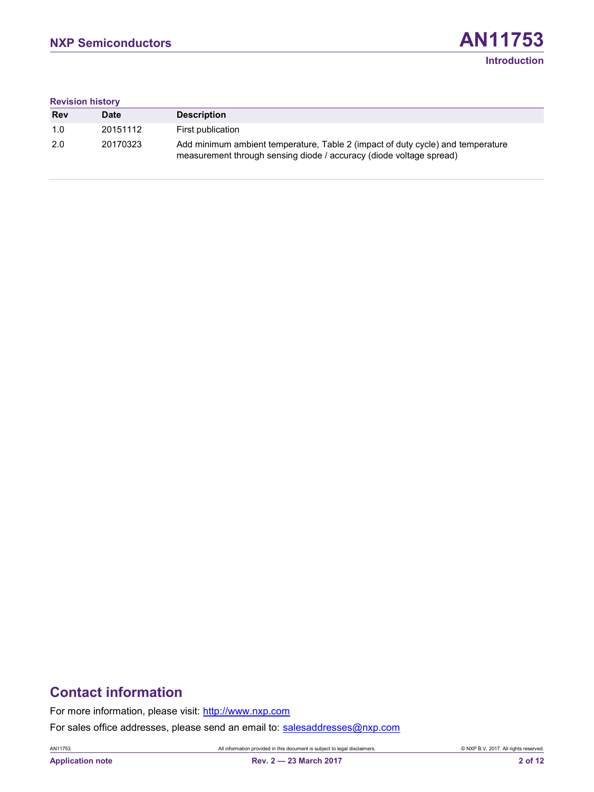# **Revision history**

| <b>Rev</b> | Date     | <b>Description</b>                                                                                                                                     |
|------------|----------|--------------------------------------------------------------------------------------------------------------------------------------------------------|
| 1.0        | 20151112 | First publication                                                                                                                                      |
| 2.0        | 20170323 | Add minimum ambient temperature, Table 2 (impact of duty cycle) and temperature<br>measurement through sensing diode / accuracy (diode voltage spread) |

# **Contact information**

For more information, please visit: [http://www.nxp.com](http://www.nxp.com/)

For sales office addresses, please send an email to: [salesaddresses@nxp.com](mailto:salesaddresses@nxp.com)

AN11753 All information provided in this document is subject to legal disclaimers. © NXP B.V. 2017. All rights reserved.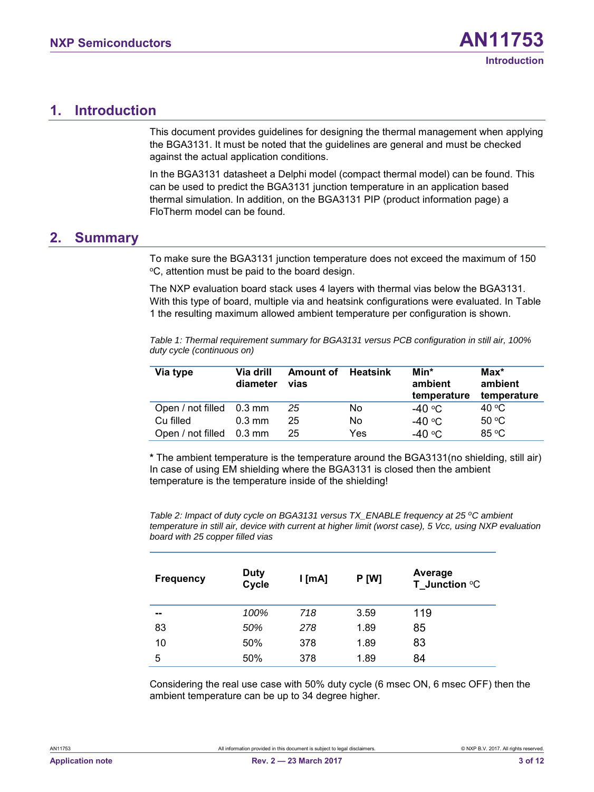# <span id="page-2-1"></span>**1. Introduction**

This document provides guidelines for designing the thermal management when applying the BGA3131. It must be noted that the guidelines are general and must be checked against the actual application conditions.

In the BGA3131 datasheet a Delphi model (compact thermal model) can be found. This can be used to predict the BGA3131 junction temperature in an application based thermal simulation. In addition, on the BGA3131 PIP (product information page) a FloTherm model can be found.

#### <span id="page-2-2"></span>**2. Summary**

To make sure the BGA3131 junction temperature does not exceed the maximum of 150 <sup>o</sup>C, attention must be paid to the board design.

The NXP evaluation board stack uses 4 layers with thermal vias below the BGA3131. With this type of board, multiple via and heatsink configurations were evaluated. In [Table](#page-2-0)  [1](#page-2-0) the resulting maximum allowed ambient temperature per configuration is shown.

<span id="page-2-0"></span>*Table 1: Thermal requirement summary for BGA3131 versus PCB configuration in still air, 100% duty cycle (continuous on)*

| Via type                 | Via drill<br>diameter | Amount of<br>vias | <b>Heatsink</b> | Min*<br>ambient<br>temperature | $Max^*$<br>ambient<br>temperature |
|--------------------------|-----------------------|-------------------|-----------------|--------------------------------|-----------------------------------|
| Open / not filled 0.3 mm |                       | 25                | No              | -40 °C                         | 40 °C                             |
| Cu filled                | $0.3 \text{ mm}$      | 25                | No              | -40 °C                         | 50 °C                             |
| Open / not filled 0.3 mm |                       | 25                | Yes             | -40 °C                         | 85 °C                             |

**\*** The ambient temperature is the temperature around the BGA3131(no shielding, still air) In case of using EM shielding where the BGA3131 is closed then the ambient temperature is the temperature inside of the shielding!

*Table 2: Impact of duty cycle on BGA3131 versus TX\_ENABLE frequency at 25 oC ambient temperature in still air, device with current at higher limit (worst case), 5 Vcc, using NXP evaluation board with 25 copper filled vias*

| <b>Frequency</b> | <b>Duty</b><br>Cycle | $l$ [mA] | <b>P [W]</b> | Average<br><b>T</b> Junction $^{\circ}$ C |
|------------------|----------------------|----------|--------------|-------------------------------------------|
| --               | 100%                 | 718      | 3.59         | 119                                       |
| 83               | 50%                  | 278      | 1.89         | 85                                        |
| 10               | 50%                  | 378      | 1.89         | 83                                        |
| 5                | 50%                  | 378      | 1.89         | 84                                        |

Considering the real use case with 50% duty cycle (6 msec ON, 6 msec OFF) then the ambient temperature can be up to 34 degree higher.

| AN11753 |  |  |
|---------|--|--|
|         |  |  |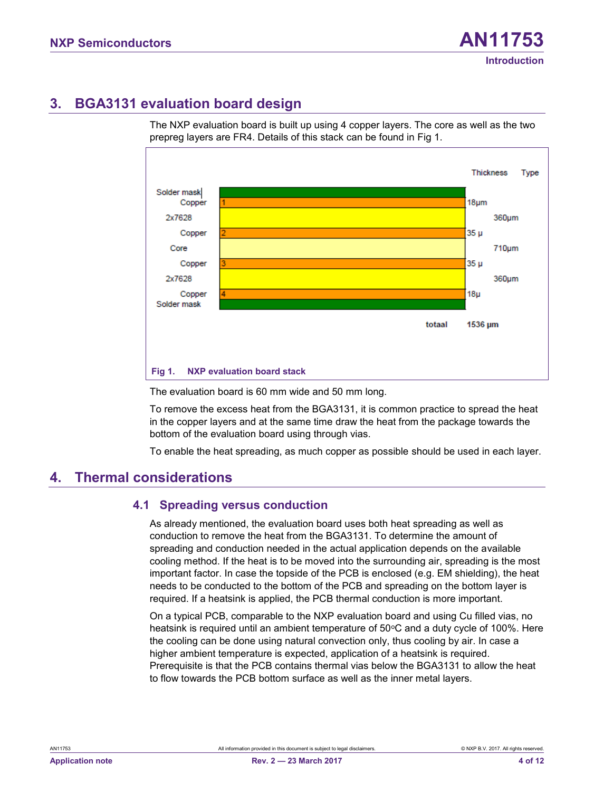# <span id="page-3-1"></span>**3. BGA3131 evaluation board design**

The NXP evaluation board is built up using 4 copper layers. The core as well as the two prepreg layers are FR4. Details of this stack can be found in [Fig 1.](#page-3-0)



<span id="page-3-0"></span>The evaluation board is 60 mm wide and 50 mm long.

To remove the excess heat from the BGA3131, it is common practice to spread the heat in the copper layers and at the same time draw the heat from the package towards the bottom of the evaluation board using through vias.

To enable the heat spreading, as much copper as possible should be used in each layer.

# <span id="page-3-2"></span>**4. Thermal considerations**

#### <span id="page-3-3"></span>**4.1 Spreading versus conduction**

As already mentioned, the evaluation board uses both heat spreading as well as conduction to remove the heat from the BGA3131. To determine the amount of spreading and conduction needed in the actual application depends on the available cooling method. If the heat is to be moved into the surrounding air, spreading is the most important factor. In case the topside of the PCB is enclosed (e.g. EM shielding), the heat needs to be conducted to the bottom of the PCB and spreading on the bottom layer is required. If a heatsink is applied, the PCB thermal conduction is more important.

On a typical PCB, comparable to the NXP evaluation board and using Cu filled vias, no heatsink is required until an ambient temperature of  $50^{\circ}$ C and a duty cycle of 100%. Here the cooling can be done using natural convection only, thus cooling by air. In case a higher ambient temperature is expected, application of a heatsink is required. Prerequisite is that the PCB contains thermal vias below the BGA3131 to allow the heat to flow towards the PCB bottom surface as well as the inner metal layers.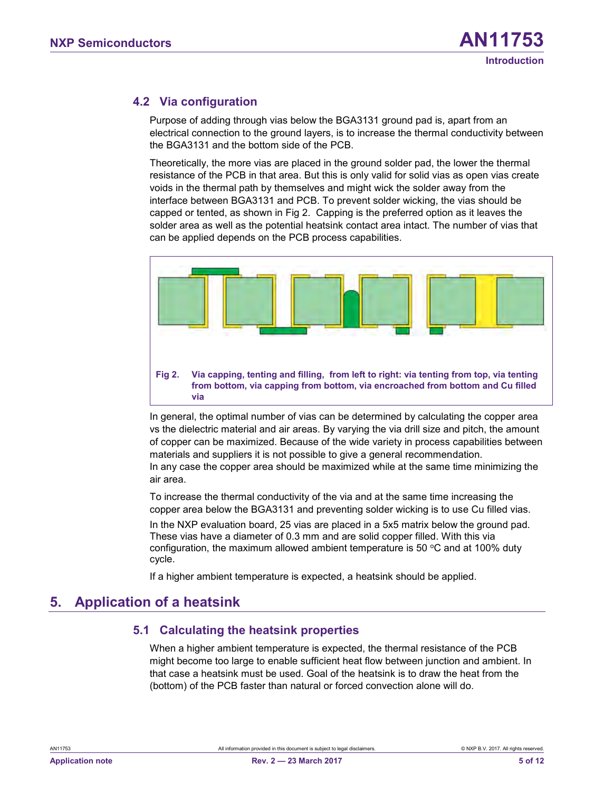#### <span id="page-4-2"></span>**4.2 Via configuration**

Purpose of adding through vias below the BGA3131 ground pad is, apart from an electrical connection to the ground layers, is to increase the thermal conductivity between the BGA3131 and the bottom side of the PCB.

Theoretically, the more vias are placed in the ground solder pad, the lower the thermal resistance of the PCB in that area. But this is only valid for solid vias as open vias create voids in the thermal path by themselves and might wick the solder away from the interface between BGA3131 and PCB. To prevent solder wicking, the vias should be capped or tented, as shown in [Fig 2.](#page-4-0) Capping is the preferred option as it leaves the solder area as well as the potential heatsink contact area intact. The number of vias that can be applied depends on the PCB process capabilities.



<span id="page-4-0"></span>In general, the optimal number of vias can be determined by calculating the copper area vs the dielectric material and air areas. By varying the via drill size and pitch, the amount of copper can be maximized. Because of the wide variety in process capabilities between materials and suppliers it is not possible to give a general recommendation. In any case the copper area should be maximized while at the same time minimizing the air area.

To increase the thermal conductivity of the via and at the same time increasing the copper area below the BGA3131 and preventing solder wicking is to use Cu filled vias.

In the NXP evaluation board, 25 vias are placed in a 5x5 matrix below the ground pad. These vias have a diameter of 0.3 mm and are solid copper filled. With this via configuration, the maximum allowed ambient temperature is 50  $\degree$ C and at 100% duty cycle.

If a higher ambient temperature is expected, a heatsink should be applied.

# <span id="page-4-3"></span>**5. Application of a heatsink**

#### <span id="page-4-1"></span>**5.1 Calculating the heatsink properties**

When a higher ambient temperature is expected, the thermal resistance of the PCB might become too large to enable sufficient heat flow between junction and ambient. In that case a heatsink must be used. Goal of the heatsink is to draw the heat from the (bottom) of the PCB faster than natural or forced convection alone will do.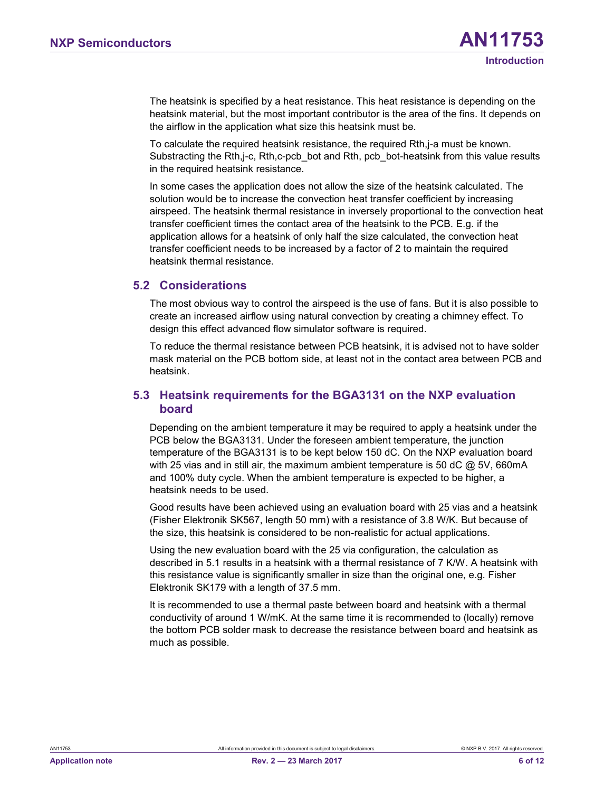The heatsink is specified by a heat resistance. This heat resistance is depending on the heatsink material, but the most important contributor is the area of the fins. It depends on the airflow in the application what size this heatsink must be.

To calculate the required heatsink resistance, the required Rth,j-a must be known. Substracting the Rth,j-c, Rth,c-pcb\_bot and Rth, pcb\_bot-heatsink from this value results in the required heatsink resistance.

In some cases the application does not allow the size of the heatsink calculated. The solution would be to increase the convection heat transfer coefficient by increasing airspeed. The heatsink thermal resistance in inversely proportional to the convection heat transfer coefficient times the contact area of the heatsink to the PCB. E.g. if the application allows for a heatsink of only half the size calculated, the convection heat transfer coefficient needs to be increased by a factor of 2 to maintain the required heatsink thermal resistance.

#### <span id="page-5-0"></span>**5.2 Considerations**

The most obvious way to control the airspeed is the use of fans. But it is also possible to create an increased airflow using natural convection by creating a chimney effect. To design this effect advanced flow simulator software is required.

To reduce the thermal resistance between PCB heatsink, it is advised not to have solder mask material on the PCB bottom side, at least not in the contact area between PCB and heatsink.

#### <span id="page-5-1"></span>**5.3 Heatsink requirements for the BGA3131 on the NXP evaluation board**

Depending on the ambient temperature it may be required to apply a heatsink under the PCB below the BGA3131. Under the foreseen ambient temperature, the junction temperature of the BGA3131 is to be kept below 150 dC. On the NXP evaluation board with 25 vias and in still air, the maximum ambient temperature is 50 dC @ 5V, 660mA and 100% duty cycle. When the ambient temperature is expected to be higher, a heatsink needs to be used.

Good results have been achieved using an evaluation board with 25 vias and a heatsink (Fisher Elektronik SK567, length 50 mm) with a resistance of 3.8 W/K. But because of the size, this heatsink is considered to be non-realistic for actual applications.

Using the new evaluation board with the 25 via configuration, the calculation as described in [5.1](#page-4-1) results in a heatsink with a thermal resistance of 7 K/W. A heatsink with this resistance value is significantly smaller in size than the original one, e.g. Fisher Elektronik SK179 with a length of 37.5 mm.

It is recommended to use a thermal paste between board and heatsink with a thermal conductivity of around 1 W/mK. At the same time it is recommended to (locally) remove the bottom PCB solder mask to decrease the resistance between board and heatsink as much as possible.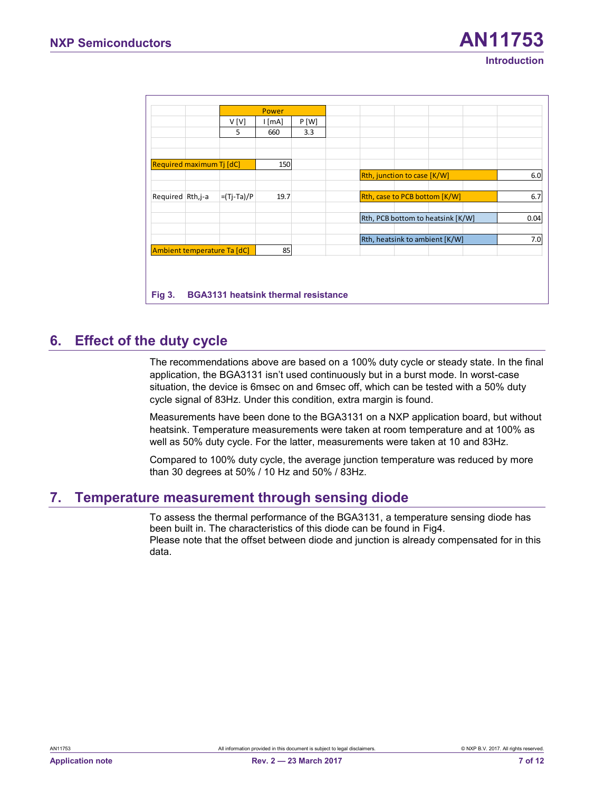|                          |                             | Power |      |                                   |      |
|--------------------------|-----------------------------|-------|------|-----------------------------------|------|
|                          | V[V]                        | [mA]  | P[W] |                                   |      |
|                          | 5                           | 660   | 3.3  |                                   |      |
| Required maximum Tj [dC] |                             | 150   |      |                                   |      |
|                          |                             |       |      | Rth, junction to case [K/W]       |      |
| Required Rth, j-a        | $=(Tj-Ta)/P$                | 19.7  |      | Rth, case to PCB bottom [K/W]     |      |
|                          |                             |       |      | Rth, PCB bottom to heatsink [K/W] | 0.04 |
|                          |                             |       |      | Rth, heatsink to ambient [K/W]    |      |
|                          | Ambient temperature Ta [dC] | 85    |      |                                   |      |

# <span id="page-6-1"></span>**6. Effect of the duty cycle**

<span id="page-6-0"></span>The recommendations above are based on a 100% duty cycle or steady state. In the final application, the BGA3131 isn't used continuously but in a burst mode. In worst-case situation, the device is 6msec on and 6msec off, which can be tested with a 50% duty cycle signal of 83Hz. Under this condition, extra margin is found.

Measurements have been done to the BGA3131 on a NXP application board, but without heatsink. Temperature measurements were taken at room temperature and at 100% as well as 50% duty cycle. For the latter, measurements were taken at 10 and 83Hz.

Compared to 100% duty cycle, the average junction temperature was reduced by more than 30 degrees at 50% / 10 Hz and 50% / 83Hz.

# <span id="page-6-2"></span>**7. Temperature measurement through sensing diode**

To assess the thermal performance of the BGA3131, a temperature sensing diode has been built in. The characteristics of this diode can be found in Fig4. Please note that the offset between diode and junction is already compensated for in this data.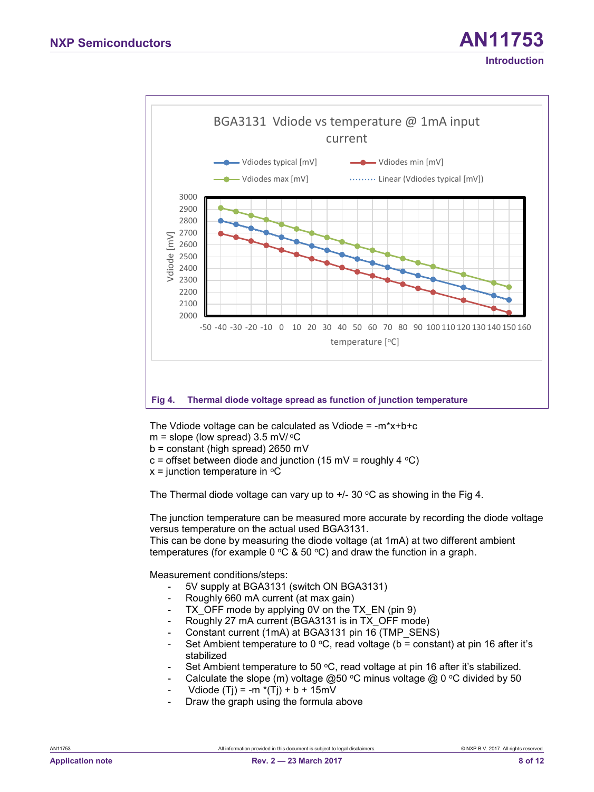# **Introduction**



<span id="page-7-0"></span>The Vdiode voltage can be calculated as Vdiode =  $-m*x+b+c$ 

- $m =$  slope (low spread) 3.5 mV/ $\degree$ C
- b = constant (high spread) 2650 mV
- c = offset between diode and junction (15 mV = roughly 4  $\degree$ C)
- $x =$  junction temperature in  $\mathrm{C}$

The Thermal diode voltage can vary up to  $+/- 30$  °C as showing in the Fig 4.

The junction temperature can be measured more accurate by recording the diode voltage versus temperature on the actual used BGA3131.

This can be done by measuring the diode voltage (at 1mA) at two different ambient temperatures (for example 0  $\mathrm{°C}$  & 50  $\mathrm{°C}$ ) and draw the function in a graph.

Measurement conditions/steps:

- 5V supply at BGA3131 (switch ON BGA3131)
- Roughly 660 mA current (at max gain)
- TX OFF mode by applying 0V on the TX EN (pin 9)
- Roughly 27 mA current (BGA3131 is in TX\_OFF mode)
- Constant current (1mA) at BGA3131 pin 16 (TMP\_SENS)
- Set Ambient temperature to 0 °C, read voltage (b = constant) at pin 16 after it's stabilized
- Set Ambient temperature to 50  $\degree$ C, read voltage at pin 16 after it's stabilized.
- Calculate the slope (m) voltage  $@50$  °C minus voltage  $@0$  °C divided by 50
- Vdiode (Tj) = -m  $*(Tj) + b + 15mV$
- Draw the graph using the formula above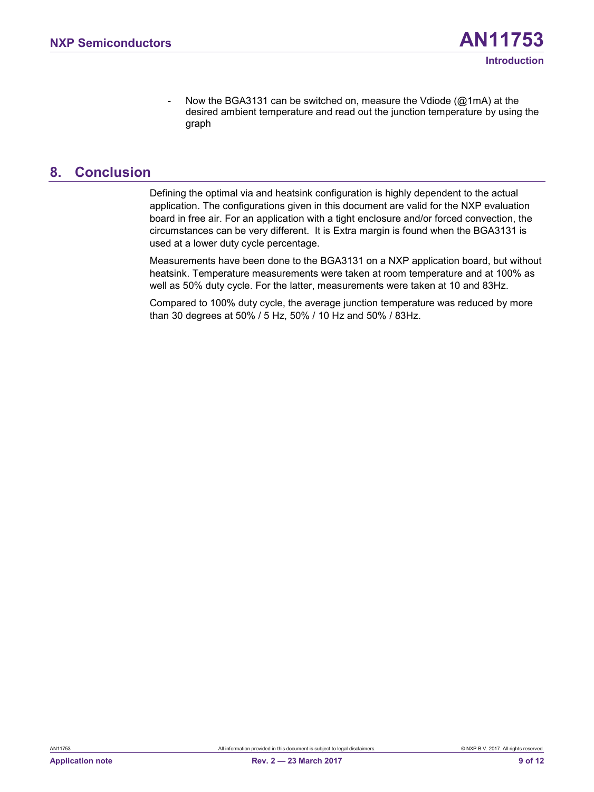#### <span id="page-8-0"></span>**8. Conclusion**

Defining the optimal via and heatsink configuration is highly dependent to the actual application. The configurations given in this document are valid for the NXP evaluation board in free air. For an application with a tight enclosure and/or forced convection, the circumstances can be very different. It is Extra margin is found when the BGA3131 is used at a lower duty cycle percentage.

Measurements have been done to the BGA3131 on a NXP application board, but without heatsink. Temperature measurements were taken at room temperature and at 100% as well as 50% duty cycle. For the latter, measurements were taken at 10 and 83Hz.

Compared to 100% duty cycle, the average junction temperature was reduced by more than 30 degrees at 50% / 5 Hz, 50% / 10 Hz and 50% / 83Hz.

**Introduction**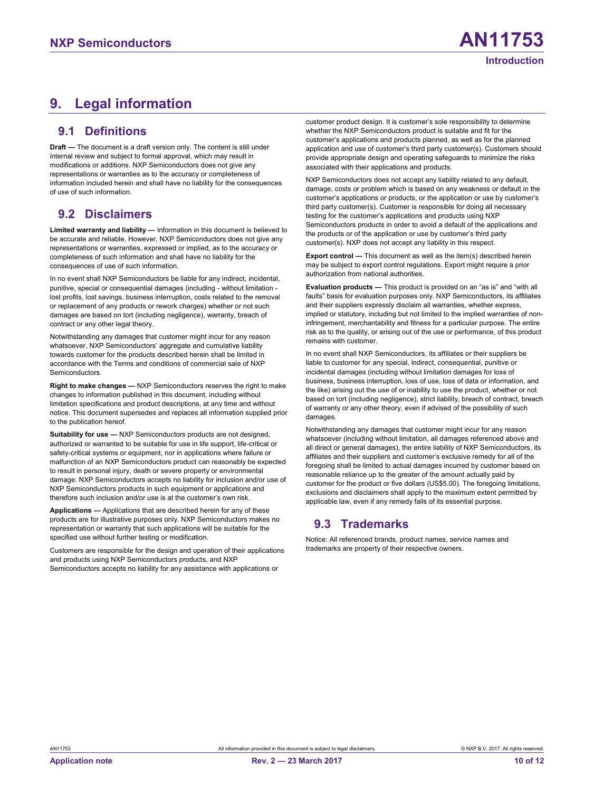# <span id="page-9-0"></span>**9. Legal information**

#### <span id="page-9-1"></span>**9.1 Definitions**

**Draft —** The document is a draft version only. The content is still under internal review and subject to formal approval, which may result in modifications or additions. NXP Semiconductors does not give any representations or warranties as to the accuracy or completeness of information included herein and shall have no liability for the consequences of use of such information.

#### <span id="page-9-2"></span>**9.2 Disclaimers**

**Limited warranty and liability —** Information in this document is believed to be accurate and reliable. However, NXP Semiconductors does not give any representations or warranties, expressed or implied, as to the accuracy or completeness of such information and shall have no liability for the consequences of use of such information.

In no event shall NXP Semiconductors be liable for any indirect, incidental, punitive, special or consequential damages (including - without limitation lost profits, lost savings, business interruption, costs related to the removal or replacement of any products or rework charges) whether or not such damages are based on tort (including negligence), warranty, breach of contract or any other legal theory.

Notwithstanding any damages that customer might incur for any reason whatsoever, NXP Semiconductors' aggregate and cumulative liability towards customer for the products described herein shall be limited in accordance with the Terms and conditions of commercial sale of NXP Semiconductors.

**Right to make changes —** NXP Semiconductors reserves the right to make changes to information published in this document, including without limitation specifications and product descriptions, at any time and without notice. This document supersedes and replaces all information supplied prior to the publication hereof.

**Suitability for use —** NXP Semiconductors products are not designed, authorized or warranted to be suitable for use in life support, life-critical or safety-critical systems or equipment, nor in applications where failure or malfunction of an NXP Semiconductors product can reasonably be expected to result in personal injury, death or severe property or environmental damage. NXP Semiconductors accepts no liability for inclusion and/or use of NXP Semiconductors products in such equipment or applications and therefore such inclusion and/or use is at the customer's own risk.

**Applications —** Applications that are described herein for any of these products are for illustrative purposes only. NXP Semiconductors makes no representation or warranty that such applications will be suitable for the specified use without further testing or modification.

Customers are responsible for the design and operation of their applications and products using NXP Semiconductors products, and NXP Semiconductors accepts no liability for any assistance with applications or

customer product design. It is customer's sole responsibility to determine whether the NXP Semiconductors product is suitable and fit for the customer's applications and products planned, as well as for the planned application and use of customer's third party customer(s). Customers should provide appropriate design and operating safeguards to minimize the risks associated with their applications and products.

NXP Semiconductors does not accept any liability related to any default, damage, costs or problem which is based on any weakness or default in the customer's applications or products, or the application or use by customer's third party customer(s). Customer is responsible for doing all necessary testing for the customer's applications and products using NXP Semiconductors products in order to avoid a default of the applications and the products or of the application or use by customer's third party customer(s). NXP does not accept any liability in this respect.

**Export control —** This document as well as the item(s) described herein may be subject to export control regulations. Export might require a prior authorization from national authorities.

**Evaluation products —** This product is provided on an "as is" and "with all faults" basis for evaluation purposes only. NXP Semiconductors, its affiliates and their suppliers expressly disclaim all warranties, whether express, implied or statutory, including but not limited to the implied warranties of noninfringement, merchantability and fitness for a particular purpose. The entire risk as to the quality, or arising out of the use or performance, of this product remains with customer.

In no event shall NXP Semiconductors, its affiliates or their suppliers be liable to customer for any special, indirect, consequential, punitive or incidental damages (including without limitation damages for loss of business, business interruption, loss of use, loss of data or information, and the like) arising out the use of or inability to use the product, whether or not based on tort (including negligence), strict liability, breach of contract, breach of warranty or any other theory, even if advised of the possibility of such damages.

Notwithstanding any damages that customer might incur for any reason whatsoever (including without limitation, all damages referenced above and all direct or general damages), the entire liability of NXP Semiconductors, its affiliates and their suppliers and customer's exclusive remedy for all of the foregoing shall be limited to actual damages incurred by customer based on reasonable reliance up to the greater of the amount actually paid by customer for the product or five dollars (US\$5.00). The foregoing limitations, exclusions and disclaimers shall apply to the maximum extent permitted by applicable law, even if any remedy fails of its essential purpose.

#### <span id="page-9-3"></span>**9.3 Trademarks**

Notice: All referenced brands, product names, service names and trademarks are property of their respective owners.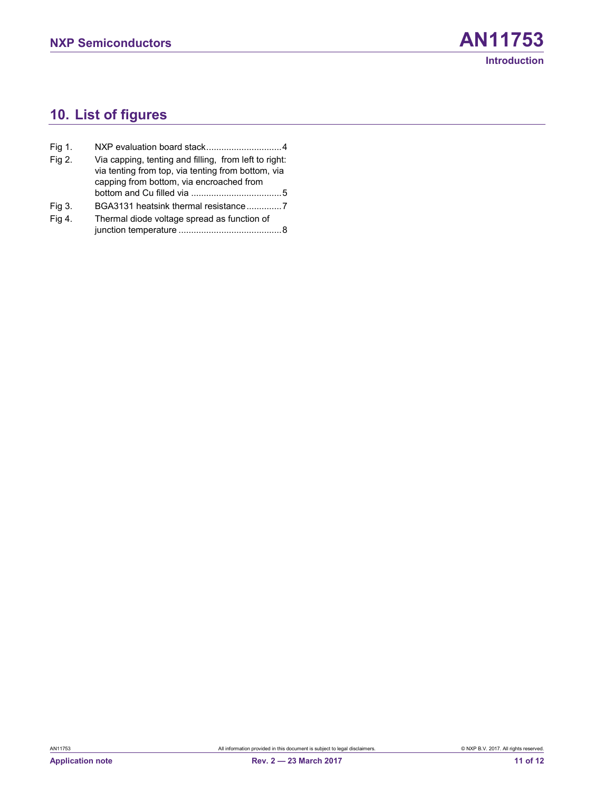# <span id="page-10-0"></span>**10. List of figures**

| Fig 1. |                                                                                                                                                         |
|--------|---------------------------------------------------------------------------------------------------------------------------------------------------------|
| Fig 2. | Via capping, tenting and filling, from left to right:<br>via tenting from top, via tenting from bottom, via<br>capping from bottom, via encroached from |
|        |                                                                                                                                                         |
| Fig 3. | BGA3131 heatsink thermal resistance7                                                                                                                    |
| Fig 4. | Thermal diode voltage spread as function of                                                                                                             |